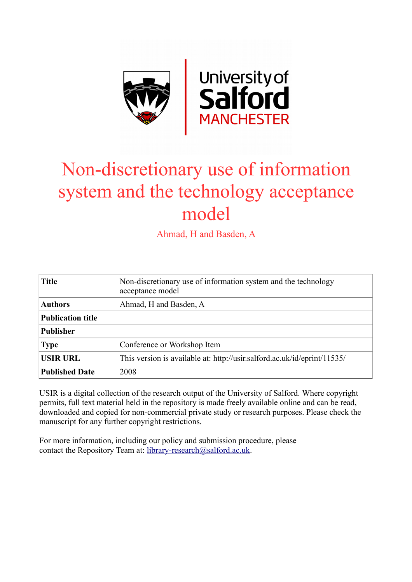

# Non-discretionary use of information system and the technology acceptance model

Ahmad, H and Basden, A

| <b>Title</b>             | Non-discretionary use of information system and the technology<br>acceptance model |
|--------------------------|------------------------------------------------------------------------------------|
| <b>Authors</b>           | Ahmad, H and Basden, A                                                             |
| <b>Publication title</b> |                                                                                    |
| <b>Publisher</b>         |                                                                                    |
| <b>Type</b>              | Conference or Workshop Item                                                        |
| <b>USIR URL</b>          | This version is available at: http://usir.salford.ac.uk/id/eprint/11535/           |
| <b>Published Date</b>    | 2008                                                                               |

USIR is a digital collection of the research output of the University of Salford. Where copyright permits, full text material held in the repository is made freely available online and can be read, downloaded and copied for non-commercial private study or research purposes. Please check the manuscript for any further copyright restrictions.

For more information, including our policy and submission procedure, please contact the Repository Team at: [library-research@salford.ac.uk.](mailto:library-research@salford.ac.uk)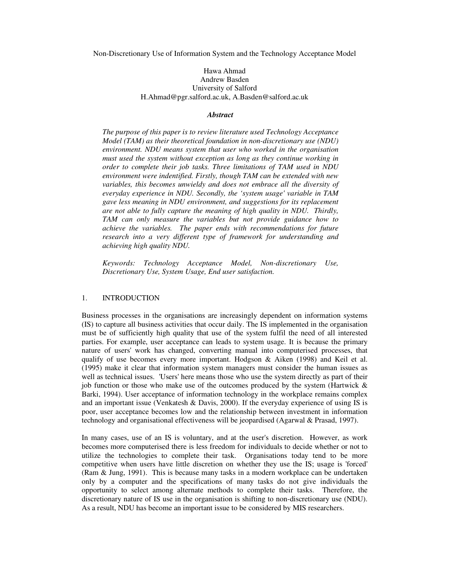Non-Discretionary Use of Information System and the Technology Acceptance Model

## Hawa Ahmad Andrew Basden University of Salford H.Ahmad@pgr.salford.ac.uk, A.Basden@salford.ac.uk

#### *Abstract*

*The purpose of this paper is to review literature used Technology Acceptance Model (TAM) as their theoretical foundation in non-discretionary use (NDU) environment. NDU means system that user who worked in the organisation must used the system without exception as long as they continue working in order to complete their job tasks. Three limitations of TAM used in NDU environment were indentified. Firstly, though TAM can be extended with new variables, this becomes unwieldy and does not embrace all the diversity of everyday experience in NDU. Secondly, the 'system usage' variable in TAM gave less meaning in NDU environment, and suggestions for its replacement are not able to fully capture the meaning of high quality in NDU. Thirdly, TAM can only measure the variables but not provide guidance how to achieve the variables. The paper ends with recommendations for future research into a very different type of framework for understanding and achieving high quality NDU.* 

*Keywords: Technology Acceptance Model, Non-discretionary Use, Discretionary Use, System Usage, End user satisfaction.* 

## 1. INTRODUCTION

Business processes in the organisations are increasingly dependent on information systems (IS) to capture all business activities that occur daily. The IS implemented in the organisation must be of sufficiently high quality that use of the system fulfil the need of all interested parties. For example, user acceptance can leads to system usage. It is because the primary nature of users' work has changed, converting manual into computerised processes, that qualify of use becomes every more important. Hodgson & Aiken (1998) and Keil et al. (1995) make it clear that information system managers must consider the human issues as well as technical issues. 'Users' here means those who use the system directly as part of their job function or those who make use of the outcomes produced by the system (Hartwick  $\&$ Barki, 1994). User acceptance of information technology in the workplace remains complex and an important issue (Venkatesh & Davis, 2000). If the everyday experience of using IS is poor, user acceptance becomes low and the relationship between investment in information technology and organisational effectiveness will be jeopardised (Agarwal & Prasad, 1997).

In many cases, use of an IS is voluntary, and at the user's discretion. However, as work becomes more computerised there is less freedom for individuals to decide whether or not to utilize the technologies to complete their task. Organisations today tend to be more competitive when users have little discretion on whether they use the IS; usage is 'forced' (Ram & Jung, 1991). This is because many tasks in a modern workplace can be undertaken only by a computer and the specifications of many tasks do not give individuals the opportunity to select among alternate methods to complete their tasks. Therefore, the discretionary nature of IS use in the organisation is shifting to non-discretionary use (NDU). As a result, NDU has become an important issue to be considered by MIS researchers.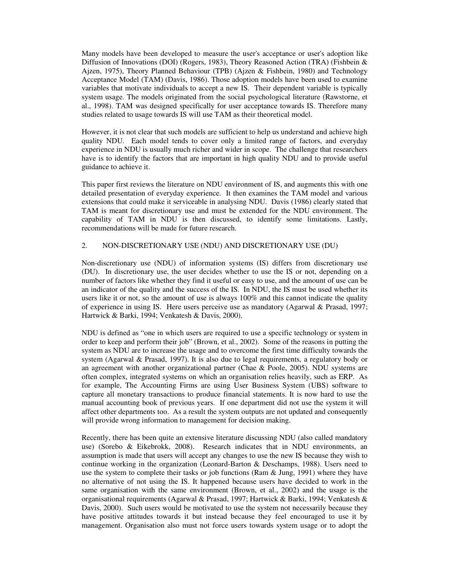Many models have been developed to measure the user's acceptance or user's adoption like Diffusion of Innovations (DOI) (Rogers, 1983), Theory Reasoned Action (TRA) (Fishbein & Ajzen, 1975), Theory Planned Behaviour (TPB) (Ajzen & Fishbein, 1980) and Technology Acceptance Model (TAM) (Davis, 1986). Those adoption models have been used to examine variables that motivate individuals to accept a new IS. Their dependent variable is typically system usage. The models originated from the social psychological literature (Rawstorne, et al., 1998). TAM was designed specifically for user acceptance towards IS. Therefore many studies related to usage towards IS will use TAM as their theoretical model.

However, it is not clear that such models are sufficient to help us understand and achieve high quality NDU. Each model tends to cover only a limited range of factors, and everyday experience in NDU is usually much richer and wider in scope. The challenge that researchers have is to identify the factors that are important in high quality NDU and to provide useful guidance to achieve it.

This paper first reviews the literature on NDU environment of IS, and augments this with one detailed presentation of everyday experience. It then examines the TAM model and various extensions that could make it serviceable in analysing NDU. Davis (1986) clearly stated that TAM is meant for discretionary use and must be extended for the NDU environment. The capability of TAM in NDU is then discussed, to identify some limitations. Lastly, recommendations will be made for future research.

# 2. NON-DISCRETIONARY USE (NDU) AND DISCRETIONARY USE (DU)

Non-discretionary use (NDU) of information systems (IS) differs from discretionary use (DU). In discretionary use, the user decides whether to use the IS or not, depending on a number of factors like whether they find it useful or easy to use, and the amount of use can be an indicator of the quality and the success of the IS. In NDU, the IS must be used whether its users like it or not, so the amount of use is always 100% and this cannot indicate the quality of experience in using IS. Here users perceive use as mandatory (Agarwal & Prasad, 1997; Hartwick & Barki, 1994; Venkatesh & Davis, 2000).

NDU is defined as "one in which users are required to use a specific technology or system in order to keep and perform their job" (Brown, et al., 2002). Some of the reasons in putting the system as NDU are to increase the usage and to overcome the first time difficulty towards the system (Agarwal & Prasad, 1997). It is also due to legal requirements, a regulatory body or an agreement with another organizational partner (Chae & Poole, 2005). NDU systems are often complex, integrated systems on which an organisation relies heavily, such as ERP. As for example, The Accounting Firms are using User Business System (UBS) software to capture all monetary transactions to produce financial statements. It is now hard to use the manual accounting book of previous years. If one department did not use the system it will affect other departments too. As a result the system outputs are not updated and consequently will provide wrong information to management for decision making.

Recently, there has been quite an extensive literature discussing NDU (also called mandatory use) (Sorebo & Eikebrokk, 2008). Research indicates that in NDU environments, an assumption is made that users will accept any changes to use the new IS because they wish to continue working in the organization (Leonard-Barton & Deschamps, 1988). Users need to use the system to complete their tasks or job functions (Ram & Jung, 1991) where they have no alternative of not using the IS. It happened because users have decided to work in the same organisation with the same environment (Brown, et al., 2002) and the usage is the organisational requirements (Agarwal & Prasad, 1997; Hartwick & Barki, 1994; Venkatesh & Davis, 2000). Such users would be motivated to use the system not necessarily because they have positive attitudes towards it but instead because they feel encouraged to use it by management. Organisation also must not force users towards system usage or to adopt the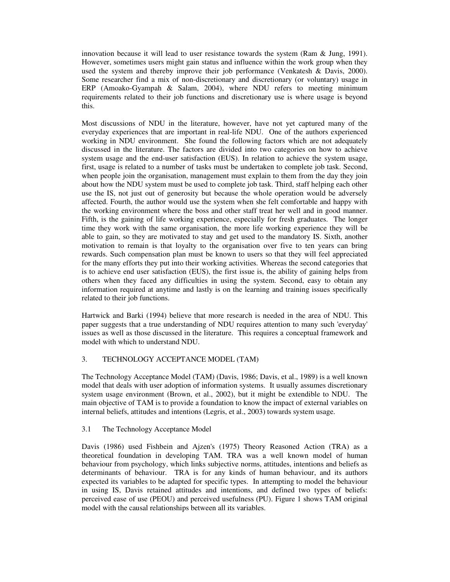innovation because it will lead to user resistance towards the system (Ram & Jung, 1991). However, sometimes users might gain status and influence within the work group when they used the system and thereby improve their job performance (Venkatesh & Davis, 2000). Some researcher find a mix of non-discretionary and discretionary (or voluntary) usage in ERP (Amoako-Gyampah & Salam, 2004), where NDU refers to meeting minimum requirements related to their job functions and discretionary use is where usage is beyond this.

Most discussions of NDU in the literature, however, have not yet captured many of the everyday experiences that are important in real-life NDU. One of the authors experienced working in NDU environment. She found the following factors which are not adequately discussed in the literature. The factors are divided into two categories on how to achieve system usage and the end-user satisfaction (EUS). In relation to achieve the system usage, first, usage is related to a number of tasks must be undertaken to complete job task. Second, when people join the organisation, management must explain to them from the day they join about how the NDU system must be used to complete job task. Third, staff helping each other use the IS, not just out of generosity but because the whole operation would be adversely affected. Fourth, the author would use the system when she felt comfortable and happy with the working environment where the boss and other staff treat her well and in good manner. Fifth, is the gaining of life working experience, especially for fresh graduates. The longer time they work with the same organisation, the more life working experience they will be able to gain, so they are motivated to stay and get used to the mandatory IS. Sixth, another motivation to remain is that loyalty to the organisation over five to ten years can bring rewards. Such compensation plan must be known to users so that they will feel appreciated for the many efforts they put into their working activities. Whereas the second categories that is to achieve end user satisfaction (EUS), the first issue is, the ability of gaining helps from others when they faced any difficulties in using the system. Second, easy to obtain any information required at anytime and lastly is on the learning and training issues specifically related to their job functions.

Hartwick and Barki (1994) believe that more research is needed in the area of NDU. This paper suggests that a true understanding of NDU requires attention to many such 'everyday' issues as well as those discussed in the literature. This requires a conceptual framework and model with which to understand NDU.

## 3. TECHNOLOGY ACCEPTANCE MODEL (TAM)

The Technology Acceptance Model (TAM) (Davis, 1986; Davis, et al., 1989) is a well known model that deals with user adoption of information systems. It usually assumes discretionary system usage environment (Brown, et al., 2002), but it might be extendible to NDU. The main objective of TAM is to provide a foundation to know the impact of external variables on internal beliefs, attitudes and intentions (Legris, et al., 2003) towards system usage.

## 3.1 The Technology Acceptance Model

Davis (1986) used Fishbein and Ajzen's (1975) Theory Reasoned Action (TRA) as a theoretical foundation in developing TAM. TRA was a well known model of human behaviour from psychology, which links subjective norms, attitudes, intentions and beliefs as determinants of behaviour. TRA is for any kinds of human behaviour, and its authors expected its variables to be adapted for specific types. In attempting to model the behaviour in using IS, Davis retained attitudes and intentions, and defined two types of beliefs: perceived ease of use (PEOU) and perceived usefulness (PU). Figure 1 shows TAM original model with the causal relationships between all its variables.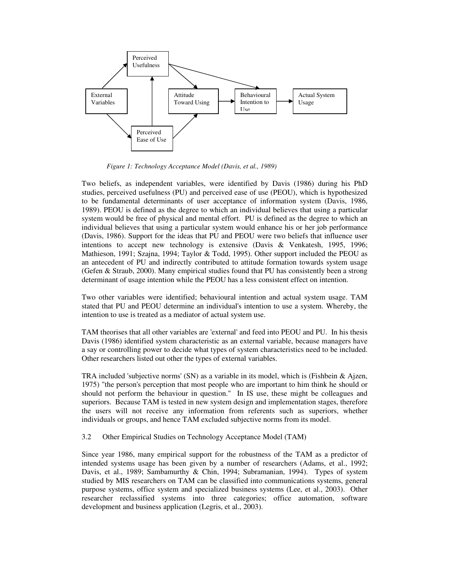

 *Figure 1: Technology Acceptance Model (Davis, et al., 1989)* 

Two beliefs, as independent variables, were identified by Davis (1986) during his PhD studies, perceived usefulness (PU) and perceived ease of use (PEOU), which is hypothesized to be fundamental determinants of user acceptance of information system (Davis, 1986, 1989). PEOU is defined as the degree to which an individual believes that using a particular system would be free of physical and mental effort. PU is defined as the degree to which an individual believes that using a particular system would enhance his or her job performance (Davis, 1986). Support for the ideas that PU and PEOU were two beliefs that influence user intentions to accept new technology is extensive (Davis & Venkatesh, 1995, 1996; Mathieson, 1991; Szajna, 1994; Taylor & Todd, 1995). Other support included the PEOU as an antecedent of PU and indirectly contributed to attitude formation towards system usage (Gefen & Straub, 2000). Many empirical studies found that PU has consistently been a strong determinant of usage intention while the PEOU has a less consistent effect on intention.

Two other variables were identified; behavioural intention and actual system usage. TAM stated that PU and PEOU determine an individual's intention to use a system. Whereby, the intention to use is treated as a mediator of actual system use.

TAM theorises that all other variables are 'external' and feed into PEOU and PU. In his thesis Davis (1986) identified system characteristic as an external variable, because managers have a say or controlling power to decide what types of system characteristics need to be included. Other researchers listed out other the types of external variables.

TRA included 'subjective norms' (SN) as a variable in its model, which is (Fishbein & Ajzen, 1975) "the person's perception that most people who are important to him think he should or should not perform the behaviour in question." In IS use, these might be colleagues and superiors. Because TAM is tested in new system design and implementation stages, therefore the users will not receive any information from referents such as superiors, whether individuals or groups, and hence TAM excluded subjective norms from its model.

3.2 Other Empirical Studies on Technology Acceptance Model (TAM)

Since year 1986, many empirical support for the robustness of the TAM as a predictor of intended systems usage has been given by a number of researchers (Adams, et al., 1992; Davis, et al., 1989; Sambamurthy & Chin, 1994; Subramanian, 1994). Types of system studied by MIS researchers on TAM can be classified into communications systems, general purpose systems, office system and specialized business systems (Lee, et al., 2003). Other researcher reclassified systems into three categories; office automation, software development and business application (Legris, et al., 2003).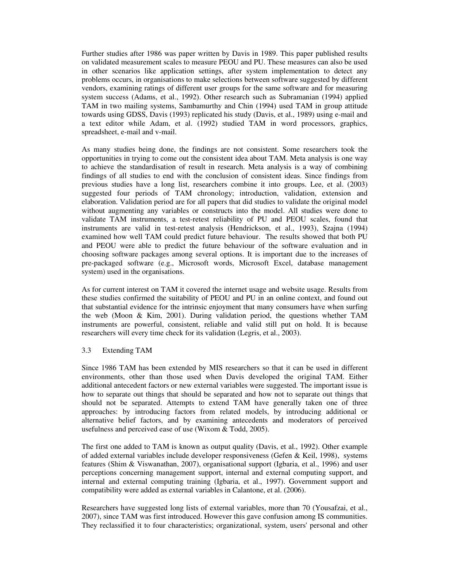Further studies after 1986 was paper written by Davis in 1989. This paper published results on validated measurement scales to measure PEOU and PU. These measures can also be used in other scenarios like application settings, after system implementation to detect any problems occurs, in organisations to make selections between software suggested by different vendors, examining ratings of different user groups for the same software and for measuring system success (Adams, et al., 1992). Other research such as Subramanian (1994) applied TAM in two mailing systems, Sambamurthy and Chin (1994) used TAM in group attitude towards using GDSS, Davis (1993) replicated his study (Davis, et al., 1989) using e-mail and a text editor while Adam, et al. (1992) studied TAM in word processors, graphics, spreadsheet, e-mail and v-mail.

As many studies being done, the findings are not consistent. Some researchers took the opportunities in trying to come out the consistent idea about TAM. Meta analysis is one way to achieve the standardisation of result in research. Meta analysis is a way of combining findings of all studies to end with the conclusion of consistent ideas. Since findings from previous studies have a long list, researchers combine it into groups. Lee, et al. (2003) suggested four periods of TAM chronology; introduction, validation, extension and elaboration. Validation period are for all papers that did studies to validate the original model without augmenting any variables or constructs into the model. All studies were done to validate TAM instruments, a test-retest reliability of PU and PEOU scales, found that instruments are valid in test-retest analysis (Hendrickson, et al., 1993), Szajna (1994) examined how well TAM could predict future behaviour. The results showed that both PU and PEOU were able to predict the future behaviour of the software evaluation and in choosing software packages among several options. It is important due to the increases of pre-packaged software (e.g., Microsoft words, Microsoft Excel, database management system) used in the organisations.

As for current interest on TAM it covered the internet usage and website usage. Results from these studies confirmed the suitability of PEOU and PU in an online context, and found out that substantial evidence for the intrinsic enjoyment that many consumers have when surfing the web (Moon & Kim, 2001). During validation period, the questions whether TAM instruments are powerful, consistent, reliable and valid still put on hold. It is because researchers will every time check for its validation (Legris, et al., 2003).

## 3.3 Extending TAM

Since 1986 TAM has been extended by MIS researchers so that it can be used in different environments, other than those used when Davis developed the original TAM. Either additional antecedent factors or new external variables were suggested. The important issue is how to separate out things that should be separated and how not to separate out things that should not be separated. Attempts to extend TAM have generally taken one of three approaches: by introducing factors from related models, by introducing additional or alternative belief factors, and by examining antecedents and moderators of perceived usefulness and perceived ease of use (Wixom & Todd, 2005).

The first one added to TAM is known as output quality (Davis, et al., 1992). Other example of added external variables include developer responsiveness (Gefen & Keil, 1998), systems features (Shim & Viswanathan, 2007), organisational support (Igbaria, et al., 1996) and user perceptions concerning management support, internal and external computing support, and internal and external computing training (Igbaria, et al., 1997). Government support and compatibility were added as external variables in Calantone, et al. (2006).

Researchers have suggested long lists of external variables, more than 70 (Yousafzai, et al., 2007), since TAM was first introduced. However this gave confusion among IS communities. They reclassified it to four characteristics; organizational, system, users' personal and other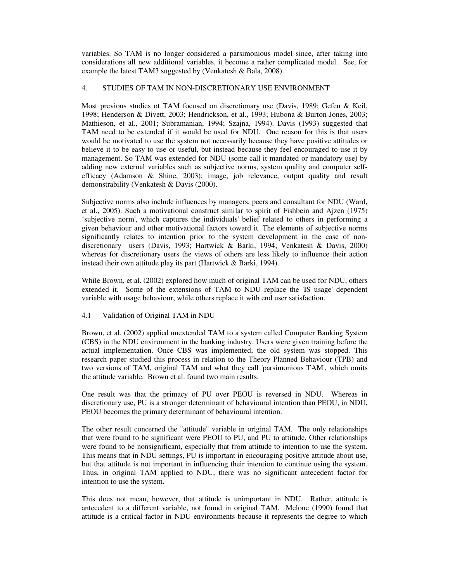variables. So TAM is no longer considered a parsimonious model since, after taking into considerations all new additional variables, it become a rather complicated model. See, for example the latest TAM3 suggested by (Venkatesh & Bala, 2008).

## 4. STUDIES OF TAM IN NON-DISCRETIONARY USE ENVIRONMENT

Most previous studies ot TAM focused on discretionary use (Davis, 1989; Gefen & Keil, 1998; Henderson & Divett, 2003; Hendrickson, et al., 1993; Hubona & Burton-Jones, 2003; Mathieson, et al., 2001; Subramanian, 1994; Szajna, 1994). Davis (1993) suggested that TAM need to be extended if it would be used for NDU. One reason for this is that users would be motivated to use the system not necessarily because they have positive attitudes or believe it to be easy to use or useful, but instead because they feel encouraged to use it by management. So TAM was extended for NDU (some call it mandated or mandatory use) by adding new external variables such as subjective norms, system quality and computer selfefficacy (Adamson & Shine, 2003); image, job relevance, output quality and result demonstrability (Venkatesh & Davis (2000).

Subjective norms also include influences by managers, peers and consultant for NDU (Ward, et al., 2005). Such a motivational construct similar to spirit of Fishbein and Ajzen (1975) 'subjective norm', which captures the individuals' belief related to others in performing a given behaviour and other motivational factors toward it. The elements of subjective norms significantly relates to intention prior to the system development in the case of nondiscretionary users (Davis, 1993; Hartwick & Barki, 1994; Venkatesh & Davis, 2000) whereas for discretionary users the views of others are less likely to influence their action instead their own attitude play its part (Hartwick & Barki, 1994).

While Brown, et al. (2002) explored how much of original TAM can be used for NDU, others extended it. Some of the extensions of TAM to NDU replace the 'IS usage' dependent variable with usage behaviour, while others replace it with end user satisfaction.

## 4.1 Validation of Original TAM in NDU

Brown, et al. (2002) applied unextended TAM to a system called Computer Banking System (CBS) in the NDU environment in the banking industry. Users were given training before the actual implementation. Once CBS was implemented, the old system was stopped. This research paper studied this process in relation to the Theory Planned Behaviour (TPB) and two versions of TAM, original TAM and what they call 'parsimonious TAM', which omits the attitude variable. Brown et al. found two main results.

One result was that the primacy of PU over PEOU is reversed in NDU. Whereas in discretionary use, PU is a stronger determinant of behavioural intention than PEOU, in NDU, PEOU becomes the primary determinant of behavioural intention.

The other result concerned the "attitude" variable in original TAM. The only relationships that were found to be significant were PEOU to PU, and PU to attitude. Other relationships were found to be nonsignificant, especially that from attitude to intention to use the system. This means that in NDU settings, PU is important in encouraging positive attitude about use, but that attitude is not important in influencing their intention to continue using the system. Thus, in original TAM applied to NDU, there was no significant antecedent factor for intention to use the system.

This does not mean, however, that attitude is unimportant in NDU. Rather, attitude is antecedent to a different variable, not found in original TAM. Melone (1990) found that attitude is a critical factor in NDU environments because it represents the degree to which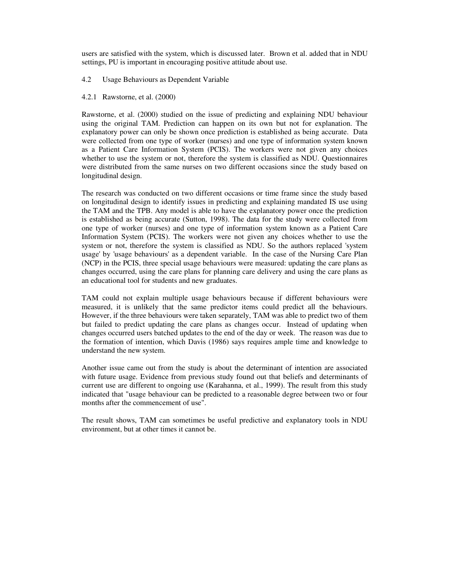users are satisfied with the system, which is discussed later. Brown et al. added that in NDU settings, PU is important in encouraging positive attitude about use.

#### 4.2 Usage Behaviours as Dependent Variable

### 4.2.1 Rawstorne, et al. (2000)

Rawstorne, et al. (2000) studied on the issue of predicting and explaining NDU behaviour using the original TAM. Prediction can happen on its own but not for explanation. The explanatory power can only be shown once prediction is established as being accurate. Data were collected from one type of worker (nurses) and one type of information system known as a Patient Care Information System (PCIS). The workers were not given any choices whether to use the system or not, therefore the system is classified as NDU. Questionnaires were distributed from the same nurses on two different occasions since the study based on longitudinal design.

The research was conducted on two different occasions or time frame since the study based on longitudinal design to identify issues in predicting and explaining mandated IS use using the TAM and the TPB. Any model is able to have the explanatory power once the prediction is established as being accurate (Sutton, 1998). The data for the study were collected from one type of worker (nurses) and one type of information system known as a Patient Care Information System (PCIS). The workers were not given any choices whether to use the system or not, therefore the system is classified as NDU. So the authors replaced 'system usage' by 'usage behaviours' as a dependent variable. In the case of the Nursing Care Plan (NCP) in the PCIS, three special usage behaviours were measured: updating the care plans as changes occurred, using the care plans for planning care delivery and using the care plans as an educational tool for students and new graduates.

TAM could not explain multiple usage behaviours because if different behaviours were measured, it is unlikely that the same predictor items could predict all the behaviours. However, if the three behaviours were taken separately, TAM was able to predict two of them but failed to predict updating the care plans as changes occur. Instead of updating when changes occurred users batched updates to the end of the day or week. The reason was due to the formation of intention, which Davis (1986) says requires ample time and knowledge to understand the new system.

Another issue came out from the study is about the determinant of intention are associated with future usage. Evidence from previous study found out that beliefs and determinants of current use are different to ongoing use (Karahanna, et al., 1999). The result from this study indicated that "usage behaviour can be predicted to a reasonable degree between two or four months after the commencement of use".

The result shows, TAM can sometimes be useful predictive and explanatory tools in NDU environment, but at other times it cannot be.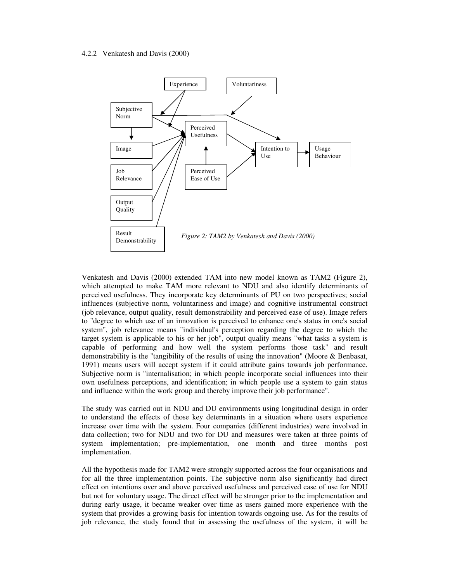#### 4.2.2 Venkatesh and Davis (2000)



Venkatesh and Davis (2000) extended TAM into new model known as TAM2 (Figure 2), which attempted to make TAM more relevant to NDU and also identify determinants of perceived usefulness. They incorporate key determinants of PU on two perspectives; social influences (subjective norm, voluntariness and image) and cognitive instrumental construct (job relevance, output quality, result demonstrability and perceived ease of use). Image refers to "degree to which use of an innovation is perceived to enhance one's status in one's social system", job relevance means "individual's perception regarding the degree to which the target system is applicable to his or her job", output quality means "what tasks a system is capable of performing and how well the system performs those task" and result demonstrability is the "tangibility of the results of using the innovation" (Moore & Benbasat, 1991) means users will accept system if it could attribute gains towards job performance. Subjective norm is "internalisation; in which people incorporate social influences into their own usefulness perceptions, and identification; in which people use a system to gain status and influence within the work group and thereby improve their job performance".

The study was carried out in NDU and DU environments using longitudinal design in order to understand the effects of those key determinants in a situation where users experience increase over time with the system. Four companies (different industries) were involved in data collection; two for NDU and two for DU and measures were taken at three points of system implementation; pre-implementation, one month and three months post implementation.

All the hypothesis made for TAM2 were strongly supported across the four organisations and for all the three implementation points. The subjective norm also significantly had direct effect on intentions over and above perceived usefulness and perceived ease of use for NDU but not for voluntary usage. The direct effect will be stronger prior to the implementation and during early usage, it became weaker over time as users gained more experience with the system that provides a growing basis for intention towards ongoing use. As for the results of job relevance, the study found that in assessing the usefulness of the system, it will be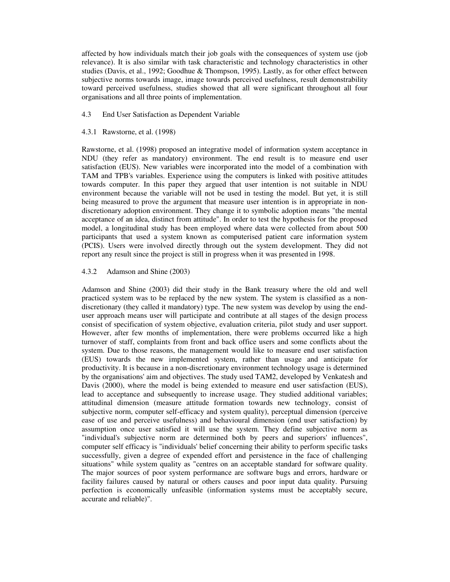affected by how individuals match their job goals with the consequences of system use (job relevance). It is also similar with task characteristic and technology characteristics in other studies (Davis, et al., 1992; Goodhue & Thompson, 1995). Lastly, as for other effect between subjective norms towards image, image towards perceived usefulness, result demonstrability toward perceived usefulness, studies showed that all were significant throughout all four organisations and all three points of implementation.

- 4.3 End User Satisfaction as Dependent Variable
- 4.3.1 Rawstorne, et al. (1998)

Rawstorne, et al. (1998) proposed an integrative model of information system acceptance in NDU (they refer as mandatory) environment. The end result is to measure end user satisfaction (EUS). New variables were incorporated into the model of a combination with TAM and TPB's variables. Experience using the computers is linked with positive attitudes towards computer. In this paper they argued that user intention is not suitable in NDU environment because the variable will not be used in testing the model. But yet, it is still being measured to prove the argument that measure user intention is in appropriate in nondiscretionary adoption environment. They change it to symbolic adoption means "the mental acceptance of an idea, distinct from attitude". In order to test the hypothesis for the proposed model, a longitudinal study has been employed where data were collected from about 500 participants that used a system known as computerised patient care information system (PCIS). Users were involved directly through out the system development. They did not report any result since the project is still in progress when it was presented in 1998.

### 4.3.2 Adamson and Shine (2003)

Adamson and Shine (2003) did their study in the Bank treasury where the old and well practiced system was to be replaced by the new system. The system is classified as a nondiscretionary (they called it mandatory) type. The new system was develop by using the enduser approach means user will participate and contribute at all stages of the design process consist of specification of system objective, evaluation criteria, pilot study and user support. However, after few months of implementation, there were problems occurred like a high turnover of staff, complaints from front and back office users and some conflicts about the system. Due to those reasons, the management would like to measure end user satisfaction (EUS) towards the new implemented system, rather than usage and anticipate for productivity. It is because in a non-discretionary environment technology usage is determined by the organisations' aim and objectives. The study used TAM2, developed by Venkatesh and Davis (2000), where the model is being extended to measure end user satisfaction (EUS), lead to acceptance and subsequently to increase usage. They studied additional variables; attitudinal dimension (measure attitude formation towards new technology, consist of subjective norm, computer self-efficacy and system quality), perceptual dimension (perceive ease of use and perceive usefulness) and behavioural dimension (end user satisfaction) by assumption once user satisfied it will use the system. They define subjective norm as "individual's subjective norm are determined both by peers and superiors' influences", computer self efficacy is "individuals' belief concerning their ability to perform specific tasks successfully, given a degree of expended effort and persistence in the face of challenging situations" while system quality as "centres on an acceptable standard for software quality. The major sources of poor system performance are software bugs and errors, hardware or facility failures caused by natural or others causes and poor input data quality. Pursuing perfection is economically unfeasible (information systems must be acceptably secure, accurate and reliable)".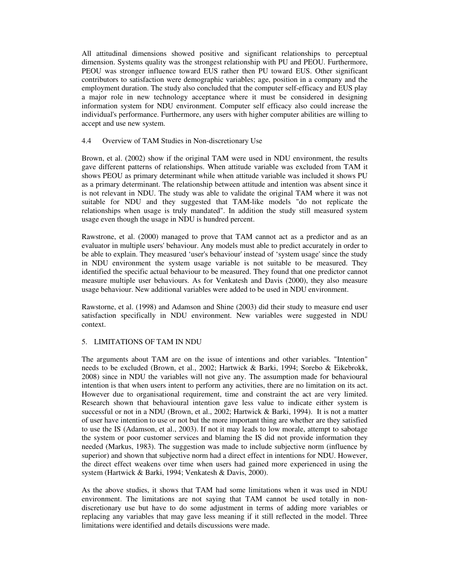All attitudinal dimensions showed positive and significant relationships to perceptual dimension. Systems quality was the strongest relationship with PU and PEOU. Furthermore, PEOU was stronger influence toward EUS rather then PU toward EUS. Other significant contributors to satisfaction were demographic variables; age, position in a company and the employment duration. The study also concluded that the computer self-efficacy and EUS play a major role in new technology acceptance where it must be considered in designing information system for NDU environment. Computer self efficacy also could increase the individual's performance. Furthermore, any users with higher computer abilities are willing to accept and use new system.

### 4.4 Overview of TAM Studies in Non-discretionary Use

Brown, et al. (2002) show if the original TAM were used in NDU environment, the results gave different patterns of relationships. When attitude variable was excluded from TAM it shows PEOU as primary determinant while when attitude variable was included it shows PU as a primary determinant. The relationship between attitude and intention was absent since it is not relevant in NDU. The study was able to validate the original TAM where it was not suitable for NDU and they suggested that TAM-like models "do not replicate the relationships when usage is truly mandated". In addition the study still measured system usage even though the usage in NDU is hundred percent.

Rawstrone, et al. (2000) managed to prove that TAM cannot act as a predictor and as an evaluator in multiple users' behaviour. Any models must able to predict accurately in order to be able to explain. They measured 'user's behaviour' instead of 'system usage' since the study in NDU environment the system usage variable is not suitable to be measured. They identified the specific actual behaviour to be measured. They found that one predictor cannot measure multiple user behaviours. As for Venkatesh and Davis (2000), they also measure usage behaviour. New additional variables were added to be used in NDU environment.

Rawstorne, et al. (1998) and Adamson and Shine (2003) did their study to measure end user satisfaction specifically in NDU environment. New variables were suggested in NDU context.

## 5. LIMITATIONS OF TAM IN NDU

The arguments about TAM are on the issue of intentions and other variables. "Intention" needs to be excluded (Brown, et al., 2002; Hartwick & Barki, 1994; Sorebo & Eikebrokk, 2008) since in NDU the variables will not give any. The assumption made for behavioural intention is that when users intent to perform any activities, there are no limitation on its act. However due to organisational requirement, time and constraint the act are very limited. Research shown that behavioural intention gave less value to indicate either system is successful or not in a NDU (Brown, et al., 2002; Hartwick & Barki, 1994). It is not a matter of user have intention to use or not but the more important thing are whether are they satisfied to use the IS (Adamson, et al., 2003). If not it may leads to low morale, attempt to sabotage the system or poor customer services and blaming the IS did not provide information they needed (Markus, 1983). The suggestion was made to include subjective norm (influence by superior) and shown that subjective norm had a direct effect in intentions for NDU. However, the direct effect weakens over time when users had gained more experienced in using the system (Hartwick & Barki, 1994; Venkatesh & Davis, 2000).

As the above studies, it shows that TAM had some limitations when it was used in NDU environment. The limitations are not saying that TAM cannot be used totally in nondiscretionary use but have to do some adjustment in terms of adding more variables or replacing any variables that may gave less meaning if it still reflected in the model. Three limitations were identified and details discussions were made.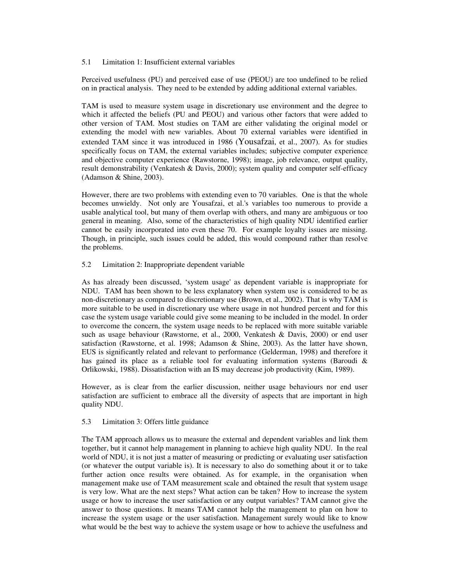### 5.1 Limitation 1: Insufficient external variables

Perceived usefulness (PU) and perceived ease of use (PEOU) are too undefined to be relied on in practical analysis. They need to be extended by adding additional external variables.

TAM is used to measure system usage in discretionary use environment and the degree to which it affected the beliefs (PU and PEOU) and various other factors that were added to other version of TAM. Most studies on TAM are either validating the original model or extending the model with new variables. About 70 external variables were identified in extended TAM since it was introduced in 1986 (Yousafzai, et al., 2007). As for studies specifically focus on TAM, the external variables includes; subjective computer experience and objective computer experience (Rawstorne, 1998); image, job relevance, output quality, result demonstrability (Venkatesh & Davis, 2000); system quality and computer self-efficacy (Adamson & Shine, 2003).

However, there are two problems with extending even to 70 variables. One is that the whole becomes unwieldy. Not only are Yousafzai, et al.'s variables too numerous to provide a usable analytical tool, but many of them overlap with others, and many are ambiguous or too general in meaning. Also, some of the characteristics of high quality NDU identified earlier cannot be easily incorporated into even these 70. For example loyalty issues are missing. Though, in principle, such issues could be added, this would compound rather than resolve the problems.

### 5.2 Limitation 2: Inappropriate dependent variable

As has already been discussed, 'system usage' as dependent variable is inappropriate for NDU. TAM has been shown to be less explanatory when system use is considered to be as non-discretionary as compared to discretionary use (Brown, et al., 2002). That is why TAM is more suitable to be used in discretionary use where usage in not hundred percent and for this case the system usage variable could give some meaning to be included in the model. In order to overcome the concern, the system usage needs to be replaced with more suitable variable such as usage behaviour (Rawstorne, et al., 2000, Venkatesh & Davis, 2000) or end user satisfaction (Rawstorne, et al. 1998; Adamson & Shine, 2003). As the latter have shown, EUS is significantly related and relevant to performance (Gelderman, 1998) and therefore it has gained its place as a reliable tool for evaluating information systems (Baroudi & Orlikowski, 1988). Dissatisfaction with an IS may decrease job productivity (Kim, 1989).

However, as is clear from the earlier discussion, neither usage behaviours nor end user satisfaction are sufficient to embrace all the diversity of aspects that are important in high quality NDU.

## 5.3 Limitation 3: Offers little guidance

The TAM approach allows us to measure the external and dependent variables and link them together, but it cannot help management in planning to achieve high quality NDU. In the real world of NDU, it is not just a matter of measuring or predicting or evaluating user satisfaction (or whatever the output variable is). It is necessary to also do something about it or to take further action once results were obtained. As for example, in the organisation when management make use of TAM measurement scale and obtained the result that system usage is very low. What are the next steps? What action can be taken? How to increase the system usage or how to increase the user satisfaction or any output variables? TAM cannot give the answer to those questions. It means TAM cannot help the management to plan on how to increase the system usage or the user satisfaction. Management surely would like to know what would be the best way to achieve the system usage or how to achieve the usefulness and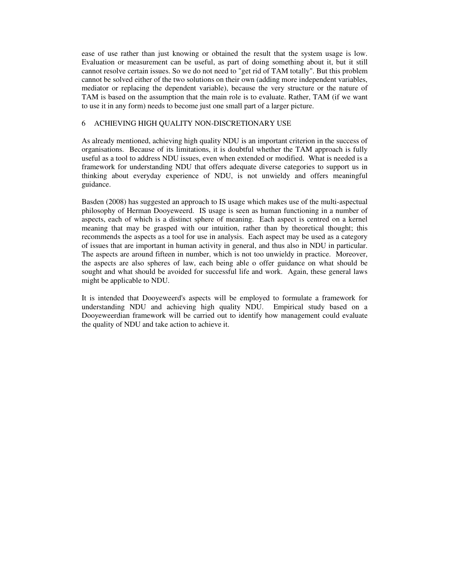ease of use rather than just knowing or obtained the result that the system usage is low. Evaluation or measurement can be useful, as part of doing something about it, but it still cannot resolve certain issues. So we do not need to "get rid of TAM totally". But this problem cannot be solved either of the two solutions on their own (adding more independent variables, mediator or replacing the dependent variable), because the very structure or the nature of TAM is based on the assumption that the main role is to evaluate. Rather, TAM (if we want to use it in any form) needs to become just one small part of a larger picture.

## 6 ACHIEVING HIGH QUALITY NON-DISCRETIONARY USE

As already mentioned, achieving high quality NDU is an important criterion in the success of organisations. Because of its limitations, it is doubtful whether the TAM approach is fully useful as a tool to address NDU issues, even when extended or modified. What is needed is a framework for understanding NDU that offers adequate diverse categories to support us in thinking about everyday experience of NDU, is not unwieldy and offers meaningful guidance.

Basden (2008) has suggested an approach to IS usage which makes use of the multi-aspectual philosophy of Herman Dooyeweerd. IS usage is seen as human functioning in a number of aspects, each of which is a distinct sphere of meaning. Each aspect is centred on a kernel meaning that may be grasped with our intuition, rather than by theoretical thought; this recommends the aspects as a tool for use in analysis. Each aspect may be used as a category of issues that are important in human activity in general, and thus also in NDU in particular. The aspects are around fifteen in number, which is not too unwieldy in practice. Moreover, the aspects are also spheres of law, each being able o offer guidance on what should be sought and what should be avoided for successful life and work. Again, these general laws might be applicable to NDU.

It is intended that Dooyeweerd's aspects will be employed to formulate a framework for understanding NDU and achieving high quality NDU. Empirical study based on a Dooyeweerdian framework will be carried out to identify how management could evaluate the quality of NDU and take action to achieve it.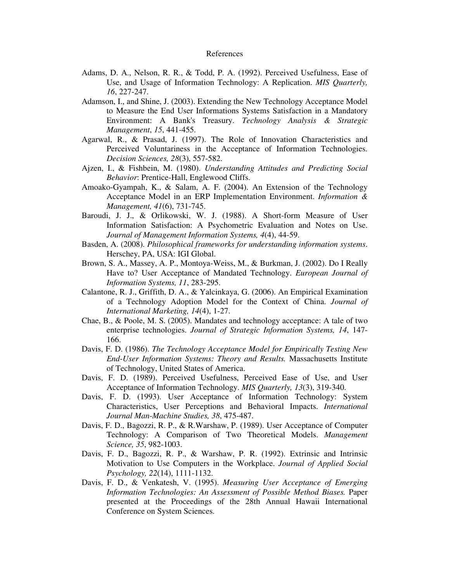#### References

- Adams, D. A., Nelson, R. R., & Todd, P. A. (1992). Perceived Usefulness, Ease of Use, and Usage of Information Technology: A Replication. *MIS Quarterly, 16*, 227-247.
- Adamson, I., and Shine, J. (2003). Extending the New Technology Acceptance Model to Measure the End User Informations Systems Satisfaction in a Mandatory Environment: A Bank's Treasury. *Technology Analysis & Strategic Management*, *15*, 441-455.
- Agarwal, R., & Prasad, J. (1997). The Role of Innovation Characteristics and Perceived Voluntariness in the Acceptance of Information Technologies. *Decision Sciences, 28*(3), 557-582.
- Ajzen, I., & Fishbein, M. (1980). *Understanding Attitudes and Predicting Social Behavior*: Prentice-Hall, Englewood Cliffs.
- Amoako-Gyampah, K., & Salam, A. F. (2004). An Extension of the Technology Acceptance Model in an ERP Implementation Environment. *Information & Management, 41*(6), 731-745.
- Baroudi, J. J., & Orlikowski, W. J. (1988). A Short-form Measure of User Information Satisfaction: A Psychometric Evaluation and Notes on Use. *Journal of Management Information Systems, 4*(4), 44-59.
- Basden, A. (2008). *Philosophical frameworks for understanding information systems*. Herschey, PA, USA: IGI Global.
- Brown, S. A., Massey, A. P., Montoya-Weiss, M., & Burkman, J. (2002). Do I Really Have to? User Acceptance of Mandated Technology. *European Journal of Information Systems, 11*, 283-295.
- Calantone, R. J., Griffith, D. A., & Yalcinkaya, G. (2006). An Empirical Examination of a Technology Adoption Model for the Context of China. *Journal of International Marketing, 14*(4), 1-27.
- Chae, B., & Poole, M. S. (2005). Mandates and technology acceptance: A tale of two enterprise technologies. *Journal of Strategic Information Systems, 14*, 147- 166.
- Davis, F. D. (1986). *The Technology Acceptance Model for Empirically Testing New End-User Information Systems: Theory and Results.* Massachusetts Institute of Technology, United States of America.
- Davis, F. D. (1989). Perceived Usefulness, Perceived Ease of Use, and User Acceptance of Information Technology. *MIS Quarterly, 13*(3), 319-340.
- Davis, F. D. (1993). User Acceptance of Information Technology: System Characteristics, User Perceptions and Behavioral Impacts. *International Journal Man-Machine Studies, 38*, 475-487.
- Davis, F. D., Bagozzi, R. P., & R.Warshaw, P. (1989). User Acceptance of Computer Technology: A Comparison of Two Theoretical Models. *Management Science, 35*, 982-1003.
- Davis, F. D., Bagozzi, R. P., & Warshaw, P. R. (1992). Extrinsic and Intrinsic Motivation to Use Computers in the Workplace. *Journal of Applied Social Psychology, 22*(14), 1111-1132.
- Davis, F. D., & Venkatesh, V. (1995). *Measuring User Acceptance of Emerging Information Technologies: An Assessment of Possible Method Biases.* Paper presented at the Proceedings of the 28th Annual Hawaii International Conference on System Sciences.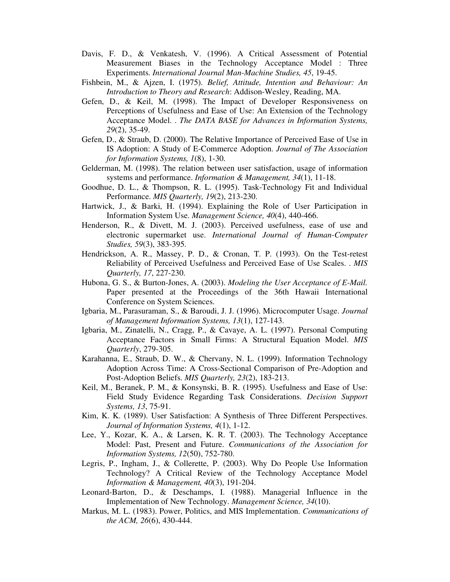- Davis, F. D., & Venkatesh, V. (1996). A Critical Assessment of Potential Measurement Biases in the Technology Acceptance Model : Three Experiments. *International Journal Man-Machine Studies, 45*, 19-45.
- Fishbein, M., & Ajzen, I. (1975). *Belief, Attitude, Intention and Behaviour: An Introduction to Theory and Research*: Addison-Wesley, Reading, MA.
- Gefen, D., & Keil, M. (1998). The Impact of Developer Responsiveness on Perceptions of Usefulness and Ease of Use: An Extension of the Technology Acceptance Model. . *The DATA BASE for Advances in Information Systems, 29*(2), 35-49.
- Gefen, D., & Straub, D. (2000). The Relative Importance of Perceived Ease of Use in IS Adoption: A Study of E-Commerce Adoption. *Journal of The Association for Information Systems, 1*(8), 1-30.
- Gelderman, M. (1998). The relation between user satisfaction, usage of information systems and performance. *Information & Management, 34*(1), 11-18.
- Goodhue, D. L., & Thompson, R. L. (1995). Task-Technology Fit and Individual Performance. *MIS Quarterly, 19*(2), 213-230.
- Hartwick, J., & Barki, H. (1994). Explaining the Role of User Participation in Information System Use. *Management Science, 40*(4), 440-466.
- Henderson, R., & Divett, M. J. (2003). Perceived usefulness, ease of use and electronic supermarket use. *International Journal of Human-Computer Studies, 59*(3), 383-395.
- Hendrickson, A. R., Massey, P. D., & Cronan, T. P. (1993). On the Test-retest Reliability of Perceived Usefulness and Perceived Ease of Use Scales. . *MIS Quarterly, 17*, 227-230.
- Hubona, G. S., & Burton-Jones, A. (2003). *Modeling the User Acceptance of E-Mail.* Paper presented at the Proceedings of the 36th Hawaii International Conference on System Sciences.
- Igbaria, M., Parasuraman, S., & Baroudi, J. J. (1996). Microcomputer Usage. *Journal of Management Information Systems, 13*(1), 127-143.
- Igbaria, M., Zinatelli, N., Cragg, P., & Cavaye, A. L. (1997). Personal Computing Acceptance Factors in Small Firms: A Structural Equation Model. *MIS Quarterly*, 279-305.
- Karahanna, E., Straub, D. W., & Chervany, N. L. (1999). Information Technology Adoption Across Time: A Cross-Sectional Comparison of Pre-Adoption and Post-Adoption Beliefs. *MIS Quarterly, 23*(2), 183-213.
- Keil, M., Beranek, P. M., & Konsynski, B. R. (1995). Usefulness and Ease of Use: Field Study Evidence Regarding Task Considerations. *Decision Support Systems, 13*, 75-91.
- Kim, K. K. (1989). User Satisfaction: A Synthesis of Three Different Perspectives. *Journal of Information Systems, 4*(1), 1-12.
- Lee, Y., Kozar, K. A., & Larsen, K. R. T. (2003). The Technology Acceptance Model: Past, Present and Future. *Communications of the Association for Information Systems, 12*(50), 752-780.
- Legris, P., Ingham, J., & Collerette, P. (2003). Why Do People Use Information Technology? A Critical Review of the Technology Acceptance Model *Information & Management, 40*(3), 191-204.
- Leonard-Barton, D., & Deschamps, I. (1988). Managerial Influence in the Implementation of New Technology. *Management Science, 34*(10).
- Markus, M. L. (1983). Power, Politics, and MIS Implementation. *Communications of the ACM, 26*(6), 430-444.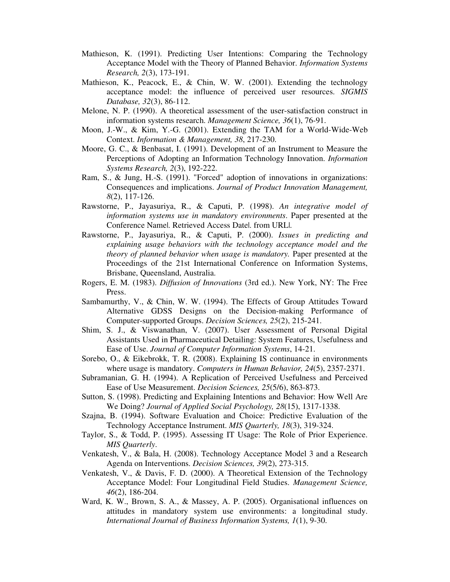- Mathieson, K. (1991). Predicting User Intentions: Comparing the Technology Acceptance Model with the Theory of Planned Behavior. *Information Systems Research, 2*(3), 173-191.
- Mathieson, K., Peacock, E., & Chin, W. W. (2001). Extending the technology acceptance model: the influence of perceived user resources. *SIGMIS Database, 32*(3), 86-112.
- Melone, N. P. (1990). A theoretical assessment of the user-satisfaction construct in information systems research. *Management Science, 36*(1), 76-91.
- Moon, J.-W., & Kim, Y.-G. (2001). Extending the TAM for a World-Wide-Web Context. *Information & Management, 38*, 217-230.
- Moore, G. C., & Benbasat, I. (1991). Development of an Instrument to Measure the Perceptions of Adopting an Information Technology Innovation. *Information Systems Research, 2*(3), 192-222.
- Ram, S., & Jung, H.-S. (1991). "Forced" adoption of innovations in organizations: Consequences and implications. *Journal of Product Innovation Management, 8*(2), 117-126.
- Rawstorne, P., Jayasuriya, R., & Caputi, P. (1998). *An integrative model of information systems use in mandatory environments*. Paper presented at the Conference Name|. Retrieved Access Date|. from URL|.
- Rawstorne, P., Jayasuriya, R., & Caputi, P. (2000). *Issues in predicting and explaining usage behaviors with the technology acceptance model and the theory of planned behavior when usage is mandatory.* Paper presented at the Proceedings of the 21st International Conference on Information Systems, Brisbane, Queensland, Australia.
- Rogers, E. M. (1983). *Diffusion of Innovations* (3rd ed.). New York, NY: The Free Press.
- Sambamurthy, V., & Chin, W. W. (1994). The Effects of Group Attitudes Toward Alternative GDSS Designs on the Decision-making Performance of Computer-supported Groups. *Decision Sciences, 25*(2), 215-241.
- Shim, S. J., & Viswanathan, V. (2007). User Assessment of Personal Digital Assistants Used in Pharmaceutical Detailing: System Features, Usefulness and Ease of Use. *Journal of Computer Information Systems*, 14-21.
- Sorebo, O., & Eikebrokk, T. R. (2008). Explaining IS continuance in environments where usage is mandatory. *Computers in Human Behavior, 24*(5), 2357-2371.
- Subramanian, G. H. (1994). A Replication of Perceived Usefulness and Perceived Ease of Use Measurement. *Decision Sciences, 25*(5/6), 863-873.
- Sutton, S. (1998). Predicting and Explaining Intentions and Behavior: How Well Are We Doing? *Journal of Applied Social Psychology, 28*(15), 1317-1338.
- Szajna, B. (1994). Software Evaluation and Choice: Predictive Evaluation of the Technology Acceptance Instrument. *MIS Quarterly, 18*(3), 319-324.
- Taylor, S., & Todd, P. (1995). Assessing IT Usage: The Role of Prior Experience. *MIS Quarterly*.
- Venkatesh, V., & Bala, H. (2008). Technology Acceptance Model 3 and a Research Agenda on Interventions. *Decision Sciences, 39*(2), 273-315.
- Venkatesh, V., & Davis, F. D. (2000). A Theoretical Extension of the Technology Acceptance Model: Four Longitudinal Field Studies. *Management Science, 46*(2), 186-204.
- Ward, K. W., Brown, S. A., & Massey, A. P. (2005). Organisational influences on attitudes in mandatory system use environments: a longitudinal study. *International Journal of Business Information Systems, 1*(1), 9-30.